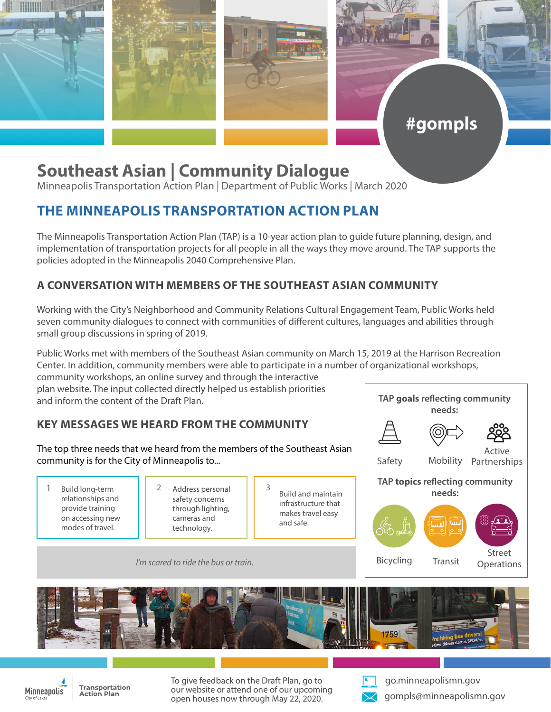

# **Southeast Asian | Community Dialogue**

Minneapolis Transportation Action Plan | Department of Public Works | March 2020

## **THE MINNEAPOLIS TRANSPORTATION ACTION PLAN**

The Minneapolis Transportation Action Plan (TAP) is a 10-year action plan to guide future planning, design, and implementation of transportation projects for all people in all the ways they move around. The TAP supports the policies adopted in the Minneapolis 2040 Comprehensive Plan.

#### **A CONVERSATION WITH MEMBERS OF THE SOUTHEAST ASIAN COMMUNITY**

Working with the City's Neighborhood and Community Relations Cultural Engagement Team, Public Works held seven community dialogues to connect with communities of different cultures, languages and abilities through small group discussions in spring of 2019.

Public Works met with members of the Southeast Asian community on March 15, 2019 at the Harrison Recreation Center. In addition, community members were able to participate in a number of organizational workshops,

community workshops, an online survey and through the interactive plan website. The input collected directly helped us establish priorities and inform the content of the Draft Plan.

### **KEY MESSAGES WE HEARD FROM THE COMMUNITY**

The top three needs that we heard from the members of the Southeast Asian community is for the City of Minneapolis to...

- Build long-term relationships and provide training on accessing new modes of travel. 1 Build long-term 1 2 Address personal 1 3
- safety concerns through lighting, cameras and technology.
- Build and maintain infrastructure that makes travel easy and safe.



**TAP goals reflecting community** 

*I'm scared to ride the bus or train.*





Transportation **Action Plan** 

To give feedback on the Draft Plan, go to our website or attend one of our upcoming open houses now through May 22, 2020.



go.minneapolismn.gov gompls@minneapolismn.gov